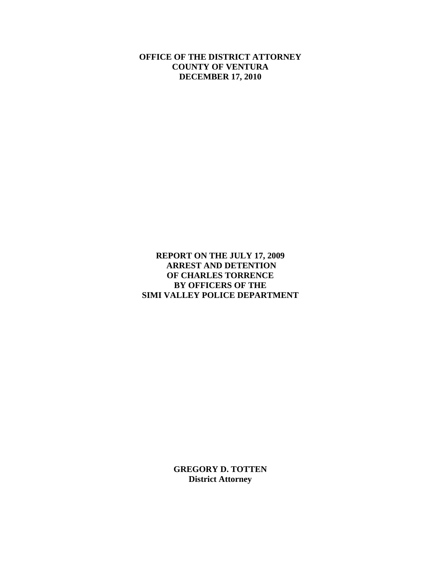**OFFICE OF THE DISTRICT ATTORNEY COUNTY OF VENTURA DECEMBER 17, 2010** 

**REPORT ON THE JULY 17, 2009 ARREST AND DETENTION OF CHARLES TORRENCE BY OFFICERS OF THE SIMI VALLEY POLICE DEPARTMENT**

> **GREGORY D. TOTTEN District Attorney**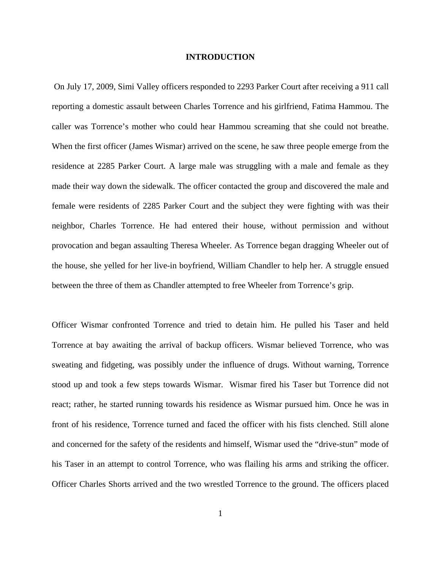### **INTRODUCTION**

 On July 17, 2009, Simi Valley officers responded to 2293 Parker Court after receiving a 911 call reporting a domestic assault between Charles Torrence and his girlfriend, Fatima Hammou. The caller was Torrence's mother who could hear Hammou screaming that she could not breathe. When the first officer (James Wismar) arrived on the scene, he saw three people emerge from the residence at 2285 Parker Court. A large male was struggling with a male and female as they made their way down the sidewalk. The officer contacted the group and discovered the male and female were residents of 2285 Parker Court and the subject they were fighting with was their neighbor, Charles Torrence. He had entered their house, without permission and without provocation and began assaulting Theresa Wheeler. As Torrence began dragging Wheeler out of the house, she yelled for her live-in boyfriend, William Chandler to help her. A struggle ensued between the three of them as Chandler attempted to free Wheeler from Torrence's grip.

Officer Wismar confronted Torrence and tried to detain him. He pulled his Taser and held Torrence at bay awaiting the arrival of backup officers. Wismar believed Torrence, who was sweating and fidgeting, was possibly under the influence of drugs. Without warning, Torrence stood up and took a few steps towards Wismar. Wismar fired his Taser but Torrence did not react; rather, he started running towards his residence as Wismar pursued him. Once he was in front of his residence, Torrence turned and faced the officer with his fists clenched. Still alone and concerned for the safety of the residents and himself, Wismar used the "drive-stun" mode of his Taser in an attempt to control Torrence, who was flailing his arms and striking the officer. Officer Charles Shorts arrived and the two wrestled Torrence to the ground. The officers placed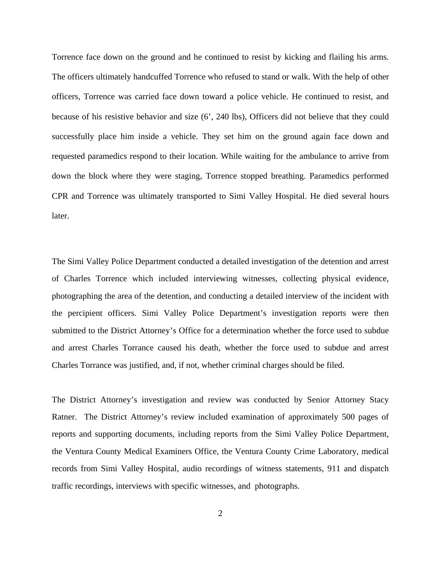Torrence face down on the ground and he continued to resist by kicking and flailing his arms. The officers ultimately handcuffed Torrence who refused to stand or walk. With the help of other officers, Torrence was carried face down toward a police vehicle. He continued to resist, and because of his resistive behavior and size (6', 240 lbs), Officers did not believe that they could successfully place him inside a vehicle. They set him on the ground again face down and requested paramedics respond to their location. While waiting for the ambulance to arrive from down the block where they were staging, Torrence stopped breathing. Paramedics performed CPR and Torrence was ultimately transported to Simi Valley Hospital. He died several hours later.

The Simi Valley Police Department conducted a detailed investigation of the detention and arrest of Charles Torrence which included interviewing witnesses, collecting physical evidence, photographing the area of the detention, and conducting a detailed interview of the incident with the percipient officers. Simi Valley Police Department's investigation reports were then submitted to the District Attorney's Office for a determination whether the force used to subdue and arrest Charles Torrance caused his death, whether the force used to subdue and arrest Charles Torrance was justified, and, if not, whether criminal charges should be filed.

The District Attorney's investigation and review was conducted by Senior Attorney Stacy Ratner. The District Attorney's review included examination of approximately 500 pages of reports and supporting documents, including reports from the Simi Valley Police Department, the Ventura County Medical Examiners Office, the Ventura County Crime Laboratory, medical records from Simi Valley Hospital, audio recordings of witness statements, 911 and dispatch traffic recordings, interviews with specific witnesses, and photographs.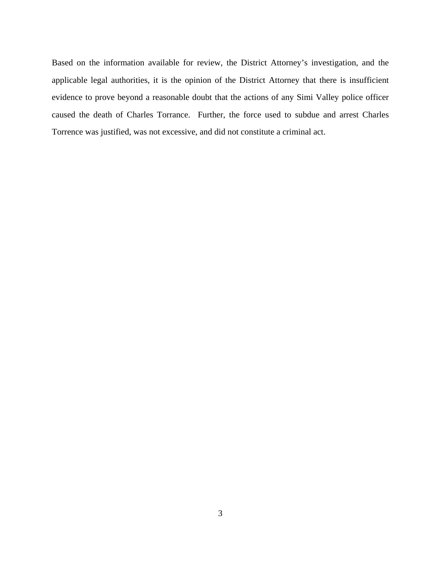Based on the information available for review, the District Attorney's investigation, and the applicable legal authorities, it is the opinion of the District Attorney that there is insufficient evidence to prove beyond a reasonable doubt that the actions of any Simi Valley police officer caused the death of Charles Torrance. Further, the force used to subdue and arrest Charles Torrence was justified, was not excessive, and did not constitute a criminal act.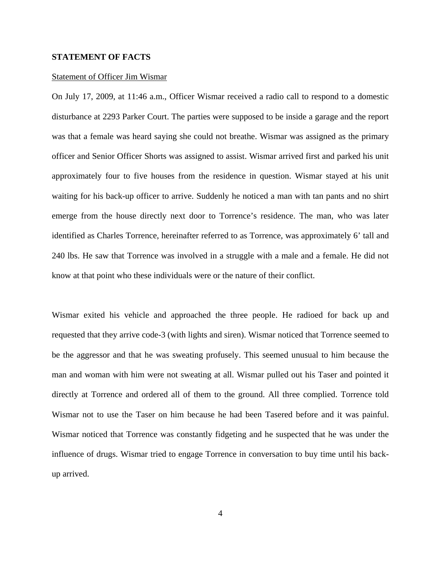### **STATEMENT OF FACTS**

### Statement of Officer Jim Wismar

On July 17, 2009, at 11:46 a.m., Officer Wismar received a radio call to respond to a domestic disturbance at 2293 Parker Court. The parties were supposed to be inside a garage and the report was that a female was heard saying she could not breathe. Wismar was assigned as the primary officer and Senior Officer Shorts was assigned to assist. Wismar arrived first and parked his unit approximately four to five houses from the residence in question. Wismar stayed at his unit waiting for his back-up officer to arrive. Suddenly he noticed a man with tan pants and no shirt emerge from the house directly next door to Torrence's residence. The man, who was later identified as Charles Torrence, hereinafter referred to as Torrence, was approximately 6' tall and 240 lbs. He saw that Torrence was involved in a struggle with a male and a female. He did not know at that point who these individuals were or the nature of their conflict.

Wismar exited his vehicle and approached the three people. He radioed for back up and requested that they arrive code-3 (with lights and siren). Wismar noticed that Torrence seemed to be the aggressor and that he was sweating profusely. This seemed unusual to him because the man and woman with him were not sweating at all. Wismar pulled out his Taser and pointed it directly at Torrence and ordered all of them to the ground. All three complied. Torrence told Wismar not to use the Taser on him because he had been Tasered before and it was painful. Wismar noticed that Torrence was constantly fidgeting and he suspected that he was under the influence of drugs. Wismar tried to engage Torrence in conversation to buy time until his backup arrived.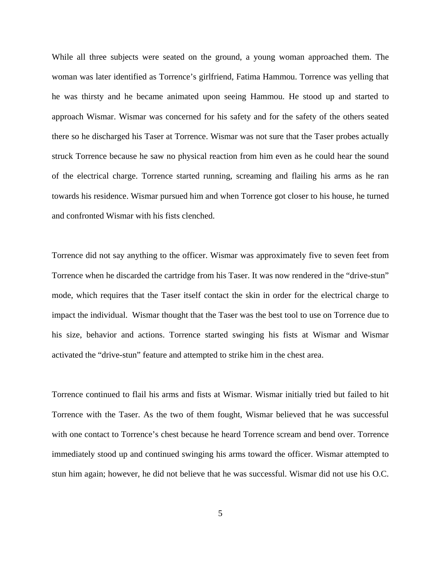While all three subjects were seated on the ground, a young woman approached them. The woman was later identified as Torrence's girlfriend, Fatima Hammou. Torrence was yelling that he was thirsty and he became animated upon seeing Hammou. He stood up and started to approach Wismar. Wismar was concerned for his safety and for the safety of the others seated there so he discharged his Taser at Torrence. Wismar was not sure that the Taser probes actually struck Torrence because he saw no physical reaction from him even as he could hear the sound of the electrical charge. Torrence started running, screaming and flailing his arms as he ran towards his residence. Wismar pursued him and when Torrence got closer to his house, he turned and confronted Wismar with his fists clenched.

Torrence did not say anything to the officer. Wismar was approximately five to seven feet from Torrence when he discarded the cartridge from his Taser. It was now rendered in the "drive-stun" mode, which requires that the Taser itself contact the skin in order for the electrical charge to impact the individual. Wismar thought that the Taser was the best tool to use on Torrence due to his size, behavior and actions. Torrence started swinging his fists at Wismar and Wismar activated the "drive-stun" feature and attempted to strike him in the chest area.

Torrence continued to flail his arms and fists at Wismar. Wismar initially tried but failed to hit Torrence with the Taser. As the two of them fought, Wismar believed that he was successful with one contact to Torrence's chest because he heard Torrence scream and bend over. Torrence immediately stood up and continued swinging his arms toward the officer. Wismar attempted to stun him again; however, he did not believe that he was successful. Wismar did not use his O.C.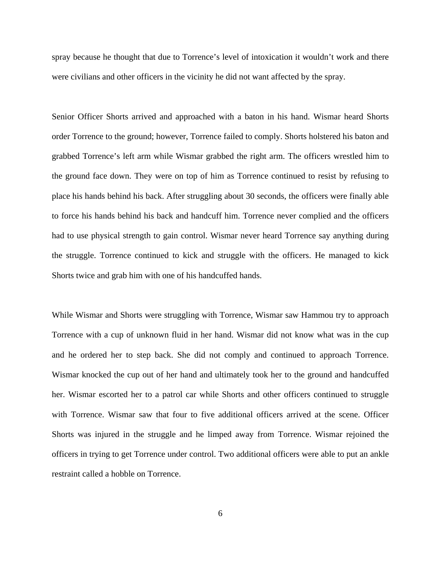spray because he thought that due to Torrence's level of intoxication it wouldn't work and there were civilians and other officers in the vicinity he did not want affected by the spray.

Senior Officer Shorts arrived and approached with a baton in his hand. Wismar heard Shorts order Torrence to the ground; however, Torrence failed to comply. Shorts holstered his baton and grabbed Torrence's left arm while Wismar grabbed the right arm. The officers wrestled him to the ground face down. They were on top of him as Torrence continued to resist by refusing to place his hands behind his back. After struggling about 30 seconds, the officers were finally able to force his hands behind his back and handcuff him. Torrence never complied and the officers had to use physical strength to gain control. Wismar never heard Torrence say anything during the struggle. Torrence continued to kick and struggle with the officers. He managed to kick Shorts twice and grab him with one of his handcuffed hands.

While Wismar and Shorts were struggling with Torrence, Wismar saw Hammou try to approach Torrence with a cup of unknown fluid in her hand. Wismar did not know what was in the cup and he ordered her to step back. She did not comply and continued to approach Torrence. Wismar knocked the cup out of her hand and ultimately took her to the ground and handcuffed her. Wismar escorted her to a patrol car while Shorts and other officers continued to struggle with Torrence. Wismar saw that four to five additional officers arrived at the scene. Officer Shorts was injured in the struggle and he limped away from Torrence. Wismar rejoined the officers in trying to get Torrence under control. Two additional officers were able to put an ankle restraint called a hobble on Torrence.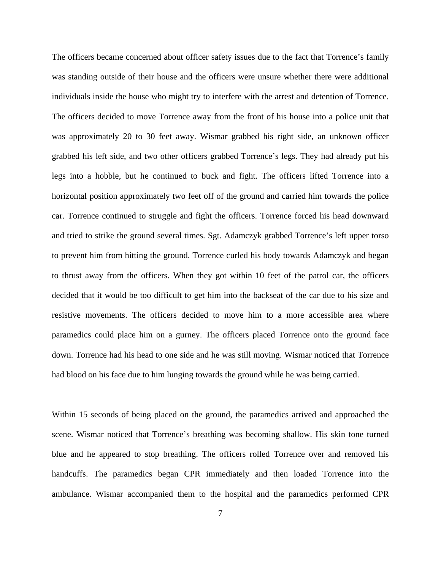The officers became concerned about officer safety issues due to the fact that Torrence's family was standing outside of their house and the officers were unsure whether there were additional individuals inside the house who might try to interfere with the arrest and detention of Torrence. The officers decided to move Torrence away from the front of his house into a police unit that was approximately 20 to 30 feet away. Wismar grabbed his right side, an unknown officer grabbed his left side, and two other officers grabbed Torrence's legs. They had already put his legs into a hobble, but he continued to buck and fight. The officers lifted Torrence into a horizontal position approximately two feet off of the ground and carried him towards the police car. Torrence continued to struggle and fight the officers. Torrence forced his head downward and tried to strike the ground several times. Sgt. Adamczyk grabbed Torrence's left upper torso to prevent him from hitting the ground. Torrence curled his body towards Adamczyk and began to thrust away from the officers. When they got within 10 feet of the patrol car, the officers decided that it would be too difficult to get him into the backseat of the car due to his size and resistive movements. The officers decided to move him to a more accessible area where paramedics could place him on a gurney. The officers placed Torrence onto the ground face down. Torrence had his head to one side and he was still moving. Wismar noticed that Torrence had blood on his face due to him lunging towards the ground while he was being carried.

Within 15 seconds of being placed on the ground, the paramedics arrived and approached the scene. Wismar noticed that Torrence's breathing was becoming shallow. His skin tone turned blue and he appeared to stop breathing. The officers rolled Torrence over and removed his handcuffs. The paramedics began CPR immediately and then loaded Torrence into the ambulance. Wismar accompanied them to the hospital and the paramedics performed CPR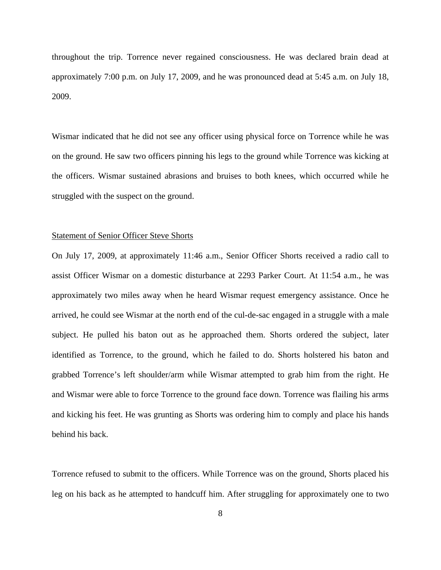throughout the trip. Torrence never regained consciousness. He was declared brain dead at approximately 7:00 p.m. on July 17, 2009, and he was pronounced dead at 5:45 a.m. on July 18, 2009.

Wismar indicated that he did not see any officer using physical force on Torrence while he was on the ground. He saw two officers pinning his legs to the ground while Torrence was kicking at the officers. Wismar sustained abrasions and bruises to both knees, which occurred while he struggled with the suspect on the ground.

### Statement of Senior Officer Steve Shorts

On July 17, 2009, at approximately 11:46 a.m., Senior Officer Shorts received a radio call to assist Officer Wismar on a domestic disturbance at 2293 Parker Court. At 11:54 a.m., he was approximately two miles away when he heard Wismar request emergency assistance. Once he arrived, he could see Wismar at the north end of the cul-de-sac engaged in a struggle with a male subject. He pulled his baton out as he approached them. Shorts ordered the subject, later identified as Torrence, to the ground, which he failed to do. Shorts holstered his baton and grabbed Torrence's left shoulder/arm while Wismar attempted to grab him from the right. He and Wismar were able to force Torrence to the ground face down. Torrence was flailing his arms and kicking his feet. He was grunting as Shorts was ordering him to comply and place his hands behind his back.

Torrence refused to submit to the officers. While Torrence was on the ground, Shorts placed his leg on his back as he attempted to handcuff him. After struggling for approximately one to two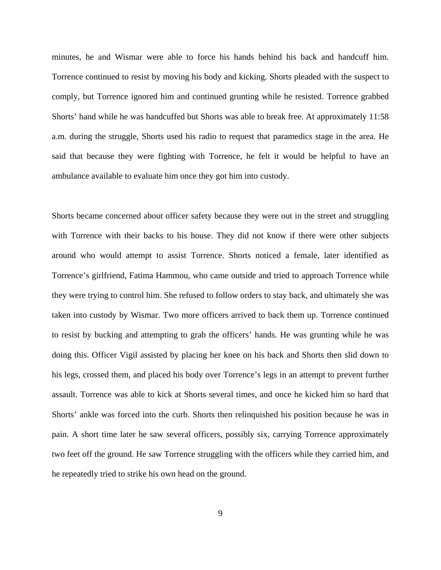minutes, he and Wismar were able to force his hands behind his back and handcuff him. Torrence continued to resist by moving his body and kicking. Shorts pleaded with the suspect to comply, but Torrence ignored him and continued grunting while he resisted. Torrence grabbed Shorts' hand while he was handcuffed but Shorts was able to break free. At approximately 11:58 a.m. during the struggle, Shorts used his radio to request that paramedics stage in the area. He said that because they were fighting with Torrence, he felt it would be helpful to have an ambulance available to evaluate him once they got him into custody.

Shorts became concerned about officer safety because they were out in the street and struggling with Torrence with their backs to his house. They did not know if there were other subjects around who would attempt to assist Torrence. Shorts noticed a female, later identified as Torrence's girlfriend, Fatima Hammou, who came outside and tried to approach Torrence while they were trying to control him. She refused to follow orders to stay back, and ultimately she was taken into custody by Wismar. Two more officers arrived to back them up. Torrence continued to resist by bucking and attempting to grab the officers' hands. He was grunting while he was doing this. Officer Vigil assisted by placing her knee on his back and Shorts then slid down to his legs, crossed them, and placed his body over Torrence's legs in an attempt to prevent further assault. Torrence was able to kick at Shorts several times, and once he kicked him so hard that Shorts' ankle was forced into the curb. Shorts then relinquished his position because he was in pain. A short time later he saw several officers, possibly six, carrying Torrence approximately two feet off the ground. He saw Torrence struggling with the officers while they carried him, and he repeatedly tried to strike his own head on the ground.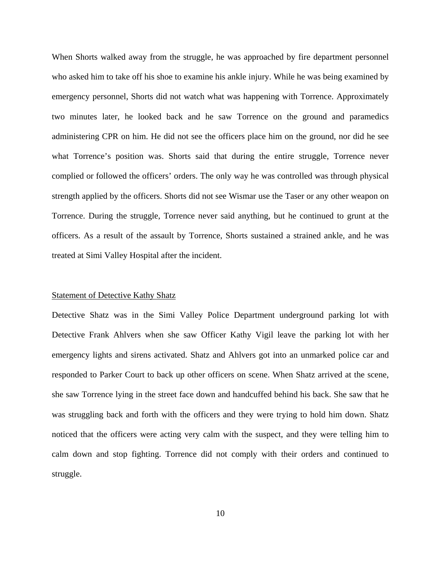When Shorts walked away from the struggle, he was approached by fire department personnel who asked him to take off his shoe to examine his ankle injury. While he was being examined by emergency personnel, Shorts did not watch what was happening with Torrence. Approximately two minutes later, he looked back and he saw Torrence on the ground and paramedics administering CPR on him. He did not see the officers place him on the ground, nor did he see what Torrence's position was. Shorts said that during the entire struggle, Torrence never complied or followed the officers' orders. The only way he was controlled was through physical strength applied by the officers. Shorts did not see Wismar use the Taser or any other weapon on Torrence. During the struggle, Torrence never said anything, but he continued to grunt at the officers. As a result of the assault by Torrence, Shorts sustained a strained ankle, and he was treated at Simi Valley Hospital after the incident.

# Statement of Detective Kathy Shatz

Detective Shatz was in the Simi Valley Police Department underground parking lot with Detective Frank Ahlvers when she saw Officer Kathy Vigil leave the parking lot with her emergency lights and sirens activated. Shatz and Ahlvers got into an unmarked police car and responded to Parker Court to back up other officers on scene. When Shatz arrived at the scene, she saw Torrence lying in the street face down and handcuffed behind his back. She saw that he was struggling back and forth with the officers and they were trying to hold him down. Shatz noticed that the officers were acting very calm with the suspect, and they were telling him to calm down and stop fighting. Torrence did not comply with their orders and continued to struggle.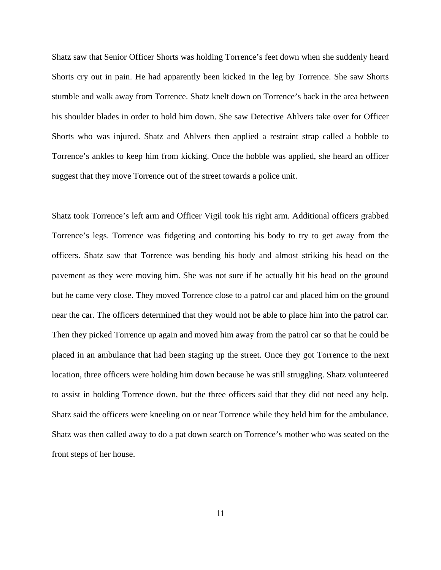Shatz saw that Senior Officer Shorts was holding Torrence's feet down when she suddenly heard Shorts cry out in pain. He had apparently been kicked in the leg by Torrence. She saw Shorts stumble and walk away from Torrence. Shatz knelt down on Torrence's back in the area between his shoulder blades in order to hold him down. She saw Detective Ahlvers take over for Officer Shorts who was injured. Shatz and Ahlvers then applied a restraint strap called a hobble to Torrence's ankles to keep him from kicking. Once the hobble was applied, she heard an officer suggest that they move Torrence out of the street towards a police unit.

Shatz took Torrence's left arm and Officer Vigil took his right arm. Additional officers grabbed Torrence's legs. Torrence was fidgeting and contorting his body to try to get away from the officers. Shatz saw that Torrence was bending his body and almost striking his head on the pavement as they were moving him. She was not sure if he actually hit his head on the ground but he came very close. They moved Torrence close to a patrol car and placed him on the ground near the car. The officers determined that they would not be able to place him into the patrol car. Then they picked Torrence up again and moved him away from the patrol car so that he could be placed in an ambulance that had been staging up the street. Once they got Torrence to the next location, three officers were holding him down because he was still struggling. Shatz volunteered to assist in holding Torrence down, but the three officers said that they did not need any help. Shatz said the officers were kneeling on or near Torrence while they held him for the ambulance. Shatz was then called away to do a pat down search on Torrence's mother who was seated on the front steps of her house.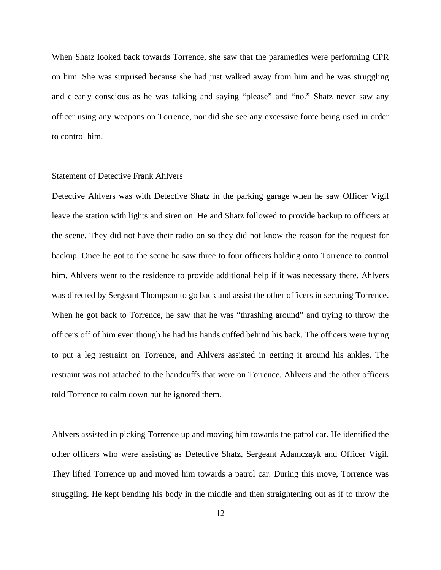When Shatz looked back towards Torrence, she saw that the paramedics were performing CPR on him. She was surprised because she had just walked away from him and he was struggling and clearly conscious as he was talking and saying "please" and "no." Shatz never saw any officer using any weapons on Torrence, nor did she see any excessive force being used in order to control him.

### Statement of Detective Frank Ahlvers

Detective Ahlvers was with Detective Shatz in the parking garage when he saw Officer Vigil leave the station with lights and siren on. He and Shatz followed to provide backup to officers at the scene. They did not have their radio on so they did not know the reason for the request for backup. Once he got to the scene he saw three to four officers holding onto Torrence to control him. Ahlvers went to the residence to provide additional help if it was necessary there. Ahlvers was directed by Sergeant Thompson to go back and assist the other officers in securing Torrence. When he got back to Torrence, he saw that he was "thrashing around" and trying to throw the officers off of him even though he had his hands cuffed behind his back. The officers were trying to put a leg restraint on Torrence, and Ahlvers assisted in getting it around his ankles. The restraint was not attached to the handcuffs that were on Torrence. Ahlvers and the other officers told Torrence to calm down but he ignored them.

Ahlvers assisted in picking Torrence up and moving him towards the patrol car. He identified the other officers who were assisting as Detective Shatz, Sergeant Adamczayk and Officer Vigil. They lifted Torrence up and moved him towards a patrol car. During this move, Torrence was struggling. He kept bending his body in the middle and then straightening out as if to throw the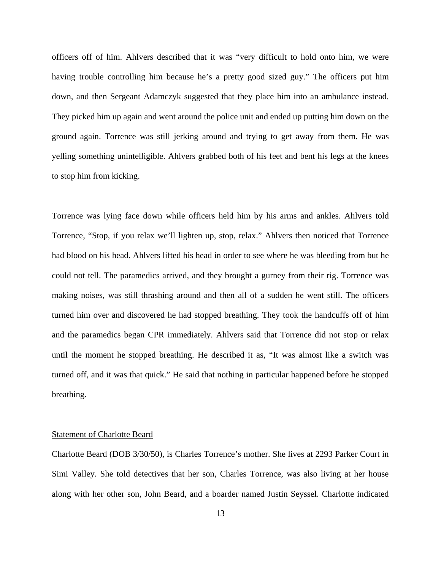officers off of him. Ahlvers described that it was "very difficult to hold onto him, we were having trouble controlling him because he's a pretty good sized guy." The officers put him down, and then Sergeant Adamczyk suggested that they place him into an ambulance instead. They picked him up again and went around the police unit and ended up putting him down on the ground again. Torrence was still jerking around and trying to get away from them. He was yelling something unintelligible. Ahlvers grabbed both of his feet and bent his legs at the knees to stop him from kicking.

Torrence was lying face down while officers held him by his arms and ankles. Ahlvers told Torrence, "Stop, if you relax we'll lighten up, stop, relax." Ahlvers then noticed that Torrence had blood on his head. Ahlvers lifted his head in order to see where he was bleeding from but he could not tell. The paramedics arrived, and they brought a gurney from their rig. Torrence was making noises, was still thrashing around and then all of a sudden he went still. The officers turned him over and discovered he had stopped breathing. They took the handcuffs off of him and the paramedics began CPR immediately. Ahlvers said that Torrence did not stop or relax until the moment he stopped breathing. He described it as, "It was almost like a switch was turned off, and it was that quick." He said that nothing in particular happened before he stopped breathing.

### Statement of Charlotte Beard

Charlotte Beard (DOB 3/30/50), is Charles Torrence's mother. She lives at 2293 Parker Court in Simi Valley. She told detectives that her son, Charles Torrence, was also living at her house along with her other son, John Beard, and a boarder named Justin Seyssel. Charlotte indicated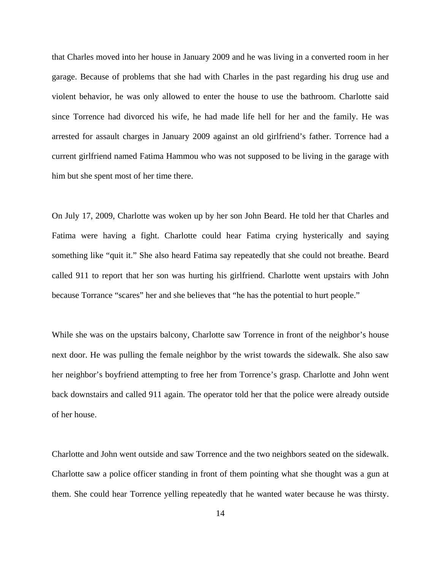that Charles moved into her house in January 2009 and he was living in a converted room in her garage. Because of problems that she had with Charles in the past regarding his drug use and violent behavior, he was only allowed to enter the house to use the bathroom. Charlotte said since Torrence had divorced his wife, he had made life hell for her and the family. He was arrested for assault charges in January 2009 against an old girlfriend's father. Torrence had a current girlfriend named Fatima Hammou who was not supposed to be living in the garage with him but she spent most of her time there.

On July 17, 2009, Charlotte was woken up by her son John Beard. He told her that Charles and Fatima were having a fight. Charlotte could hear Fatima crying hysterically and saying something like "quit it." She also heard Fatima say repeatedly that she could not breathe. Beard called 911 to report that her son was hurting his girlfriend. Charlotte went upstairs with John because Torrance "scares" her and she believes that "he has the potential to hurt people."

While she was on the upstairs balcony, Charlotte saw Torrence in front of the neighbor's house next door. He was pulling the female neighbor by the wrist towards the sidewalk. She also saw her neighbor's boyfriend attempting to free her from Torrence's grasp. Charlotte and John went back downstairs and called 911 again. The operator told her that the police were already outside of her house.

Charlotte and John went outside and saw Torrence and the two neighbors seated on the sidewalk. Charlotte saw a police officer standing in front of them pointing what she thought was a gun at them. She could hear Torrence yelling repeatedly that he wanted water because he was thirsty.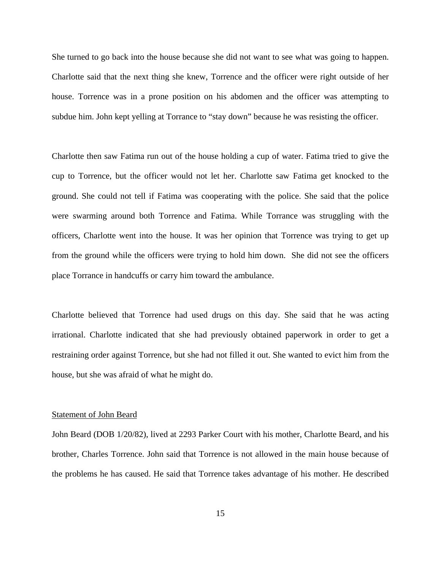She turned to go back into the house because she did not want to see what was going to happen. Charlotte said that the next thing she knew, Torrence and the officer were right outside of her house. Torrence was in a prone position on his abdomen and the officer was attempting to subdue him. John kept yelling at Torrance to "stay down" because he was resisting the officer.

Charlotte then saw Fatima run out of the house holding a cup of water. Fatima tried to give the cup to Torrence, but the officer would not let her. Charlotte saw Fatima get knocked to the ground. She could not tell if Fatima was cooperating with the police. She said that the police were swarming around both Torrence and Fatima. While Torrance was struggling with the officers, Charlotte went into the house. It was her opinion that Torrence was trying to get up from the ground while the officers were trying to hold him down. She did not see the officers place Torrance in handcuffs or carry him toward the ambulance.

Charlotte believed that Torrence had used drugs on this day. She said that he was acting irrational. Charlotte indicated that she had previously obtained paperwork in order to get a restraining order against Torrence, but she had not filled it out. She wanted to evict him from the house, but she was afraid of what he might do.

#### Statement of John Beard

John Beard (DOB 1/20/82), lived at 2293 Parker Court with his mother, Charlotte Beard, and his brother, Charles Torrence. John said that Torrence is not allowed in the main house because of the problems he has caused. He said that Torrence takes advantage of his mother. He described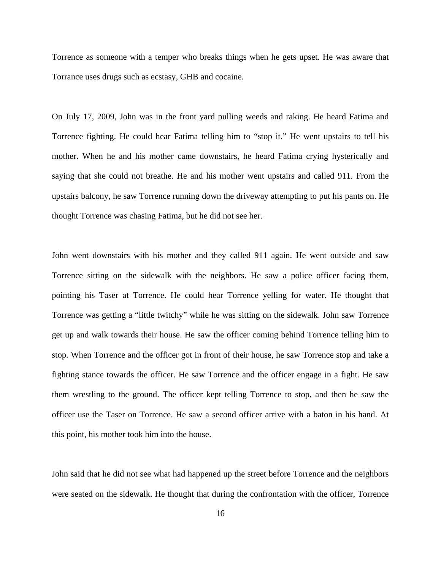Torrence as someone with a temper who breaks things when he gets upset. He was aware that Torrance uses drugs such as ecstasy, GHB and cocaine.

On July 17, 2009, John was in the front yard pulling weeds and raking. He heard Fatima and Torrence fighting. He could hear Fatima telling him to "stop it." He went upstairs to tell his mother. When he and his mother came downstairs, he heard Fatima crying hysterically and saying that she could not breathe. He and his mother went upstairs and called 911. From the upstairs balcony, he saw Torrence running down the driveway attempting to put his pants on. He thought Torrence was chasing Fatima, but he did not see her.

John went downstairs with his mother and they called 911 again. He went outside and saw Torrence sitting on the sidewalk with the neighbors. He saw a police officer facing them, pointing his Taser at Torrence. He could hear Torrence yelling for water. He thought that Torrence was getting a "little twitchy" while he was sitting on the sidewalk. John saw Torrence get up and walk towards their house. He saw the officer coming behind Torrence telling him to stop. When Torrence and the officer got in front of their house, he saw Torrence stop and take a fighting stance towards the officer. He saw Torrence and the officer engage in a fight. He saw them wrestling to the ground. The officer kept telling Torrence to stop, and then he saw the officer use the Taser on Torrence. He saw a second officer arrive with a baton in his hand. At this point, his mother took him into the house.

John said that he did not see what had happened up the street before Torrence and the neighbors were seated on the sidewalk. He thought that during the confrontation with the officer, Torrence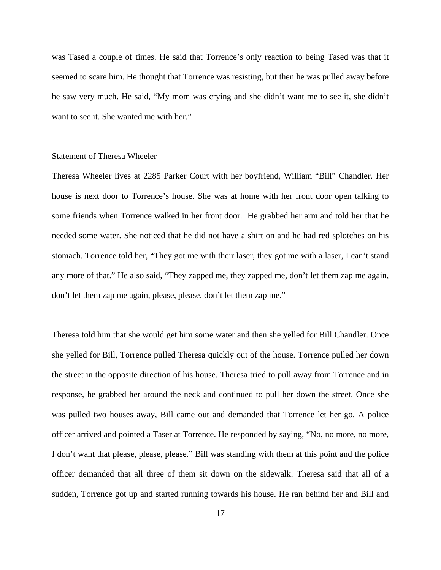was Tased a couple of times. He said that Torrence's only reaction to being Tased was that it seemed to scare him. He thought that Torrence was resisting, but then he was pulled away before he saw very much. He said, "My mom was crying and she didn't want me to see it, she didn't want to see it. She wanted me with her."

### Statement of Theresa Wheeler

Theresa Wheeler lives at 2285 Parker Court with her boyfriend, William "Bill" Chandler. Her house is next door to Torrence's house. She was at home with her front door open talking to some friends when Torrence walked in her front door. He grabbed her arm and told her that he needed some water. She noticed that he did not have a shirt on and he had red splotches on his stomach. Torrence told her, "They got me with their laser, they got me with a laser, I can't stand any more of that." He also said, "They zapped me, they zapped me, don't let them zap me again, don't let them zap me again, please, please, don't let them zap me."

Theresa told him that she would get him some water and then she yelled for Bill Chandler. Once she yelled for Bill, Torrence pulled Theresa quickly out of the house. Torrence pulled her down the street in the opposite direction of his house. Theresa tried to pull away from Torrence and in response, he grabbed her around the neck and continued to pull her down the street. Once she was pulled two houses away, Bill came out and demanded that Torrence let her go. A police officer arrived and pointed a Taser at Torrence. He responded by saying, "No, no more, no more, I don't want that please, please, please." Bill was standing with them at this point and the police officer demanded that all three of them sit down on the sidewalk. Theresa said that all of a sudden, Torrence got up and started running towards his house. He ran behind her and Bill and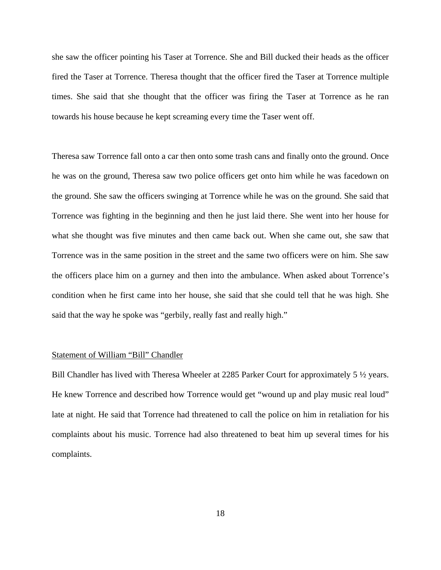she saw the officer pointing his Taser at Torrence. She and Bill ducked their heads as the officer fired the Taser at Torrence. Theresa thought that the officer fired the Taser at Torrence multiple times. She said that she thought that the officer was firing the Taser at Torrence as he ran towards his house because he kept screaming every time the Taser went off.

Theresa saw Torrence fall onto a car then onto some trash cans and finally onto the ground. Once he was on the ground, Theresa saw two police officers get onto him while he was facedown on the ground. She saw the officers swinging at Torrence while he was on the ground. She said that Torrence was fighting in the beginning and then he just laid there. She went into her house for what she thought was five minutes and then came back out. When she came out, she saw that Torrence was in the same position in the street and the same two officers were on him. She saw the officers place him on a gurney and then into the ambulance. When asked about Torrence's condition when he first came into her house, she said that she could tell that he was high. She said that the way he spoke was "gerbily, really fast and really high."

## Statement of William "Bill" Chandler

Bill Chandler has lived with Theresa Wheeler at 2285 Parker Court for approximately 5  $\frac{1}{2}$  years. He knew Torrence and described how Torrence would get "wound up and play music real loud" late at night. He said that Torrence had threatened to call the police on him in retaliation for his complaints about his music. Torrence had also threatened to beat him up several times for his complaints.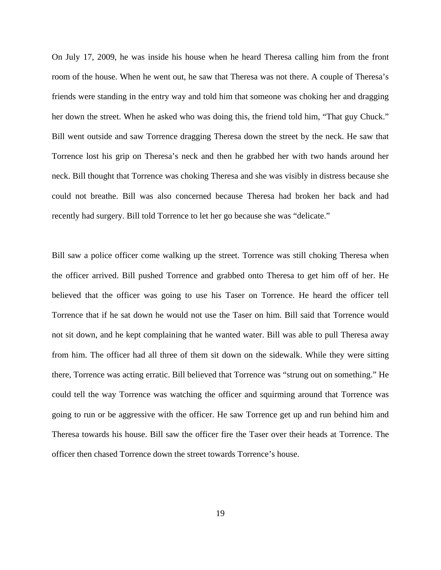On July 17, 2009, he was inside his house when he heard Theresa calling him from the front room of the house. When he went out, he saw that Theresa was not there. A couple of Theresa's friends were standing in the entry way and told him that someone was choking her and dragging her down the street. When he asked who was doing this, the friend told him, "That guy Chuck." Bill went outside and saw Torrence dragging Theresa down the street by the neck. He saw that Torrence lost his grip on Theresa's neck and then he grabbed her with two hands around her neck. Bill thought that Torrence was choking Theresa and she was visibly in distress because she could not breathe. Bill was also concerned because Theresa had broken her back and had recently had surgery. Bill told Torrence to let her go because she was "delicate."

Bill saw a police officer come walking up the street. Torrence was still choking Theresa when the officer arrived. Bill pushed Torrence and grabbed onto Theresa to get him off of her. He believed that the officer was going to use his Taser on Torrence. He heard the officer tell Torrence that if he sat down he would not use the Taser on him. Bill said that Torrence would not sit down, and he kept complaining that he wanted water. Bill was able to pull Theresa away from him. The officer had all three of them sit down on the sidewalk. While they were sitting there, Torrence was acting erratic. Bill believed that Torrence was "strung out on something." He could tell the way Torrence was watching the officer and squirming around that Torrence was going to run or be aggressive with the officer. He saw Torrence get up and run behind him and Theresa towards his house. Bill saw the officer fire the Taser over their heads at Torrence. The officer then chased Torrence down the street towards Torrence's house.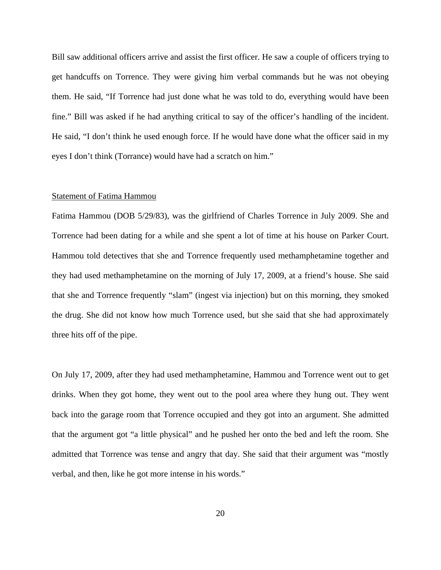Bill saw additional officers arrive and assist the first officer. He saw a couple of officers trying to get handcuffs on Torrence. They were giving him verbal commands but he was not obeying them. He said, "If Torrence had just done what he was told to do, everything would have been fine." Bill was asked if he had anything critical to say of the officer's handling of the incident. He said, "I don't think he used enough force. If he would have done what the officer said in my eyes I don't think (Torrance) would have had a scratch on him."

### Statement of Fatima Hammou

Fatima Hammou (DOB 5/29/83), was the girlfriend of Charles Torrence in July 2009. She and Torrence had been dating for a while and she spent a lot of time at his house on Parker Court. Hammou told detectives that she and Torrence frequently used methamphetamine together and they had used methamphetamine on the morning of July 17, 2009, at a friend's house. She said that she and Torrence frequently "slam" (ingest via injection) but on this morning, they smoked the drug. She did not know how much Torrence used, but she said that she had approximately three hits off of the pipe.

On July 17, 2009, after they had used methamphetamine, Hammou and Torrence went out to get drinks. When they got home, they went out to the pool area where they hung out. They went back into the garage room that Torrence occupied and they got into an argument. She admitted that the argument got "a little physical" and he pushed her onto the bed and left the room. She admitted that Torrence was tense and angry that day. She said that their argument was "mostly verbal, and then, like he got more intense in his words."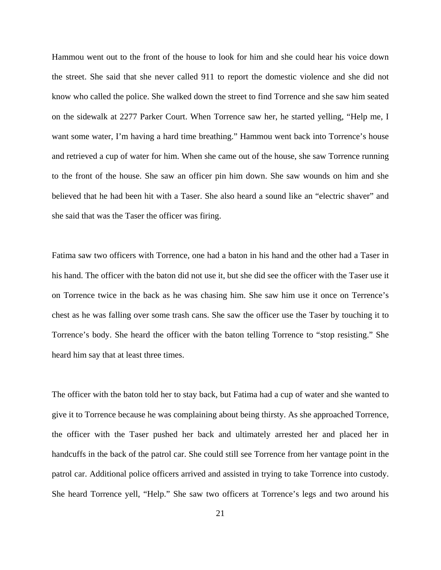Hammou went out to the front of the house to look for him and she could hear his voice down the street. She said that she never called 911 to report the domestic violence and she did not know who called the police. She walked down the street to find Torrence and she saw him seated on the sidewalk at 2277 Parker Court. When Torrence saw her, he started yelling, "Help me, I want some water, I'm having a hard time breathing." Hammou went back into Torrence's house and retrieved a cup of water for him. When she came out of the house, she saw Torrence running to the front of the house. She saw an officer pin him down. She saw wounds on him and she believed that he had been hit with a Taser. She also heard a sound like an "electric shaver" and she said that was the Taser the officer was firing.

Fatima saw two officers with Torrence, one had a baton in his hand and the other had a Taser in his hand. The officer with the baton did not use it, but she did see the officer with the Taser use it on Torrence twice in the back as he was chasing him. She saw him use it once on Terrence's chest as he was falling over some trash cans. She saw the officer use the Taser by touching it to Torrence's body. She heard the officer with the baton telling Torrence to "stop resisting." She heard him say that at least three times.

The officer with the baton told her to stay back, but Fatima had a cup of water and she wanted to give it to Torrence because he was complaining about being thirsty. As she approached Torrence, the officer with the Taser pushed her back and ultimately arrested her and placed her in handcuffs in the back of the patrol car. She could still see Torrence from her vantage point in the patrol car. Additional police officers arrived and assisted in trying to take Torrence into custody. She heard Torrence yell, "Help." She saw two officers at Torrence's legs and two around his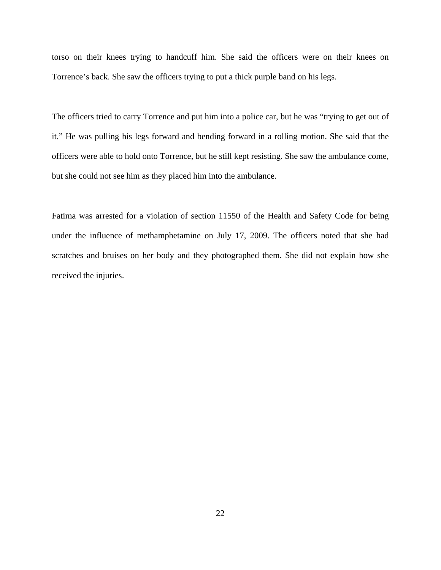torso on their knees trying to handcuff him. She said the officers were on their knees on Torrence's back. She saw the officers trying to put a thick purple band on his legs.

The officers tried to carry Torrence and put him into a police car, but he was "trying to get out of it." He was pulling his legs forward and bending forward in a rolling motion. She said that the officers were able to hold onto Torrence, but he still kept resisting. She saw the ambulance come, but she could not see him as they placed him into the ambulance.

Fatima was arrested for a violation of section 11550 of the Health and Safety Code for being under the influence of methamphetamine on July 17, 2009. The officers noted that she had scratches and bruises on her body and they photographed them. She did not explain how she received the injuries.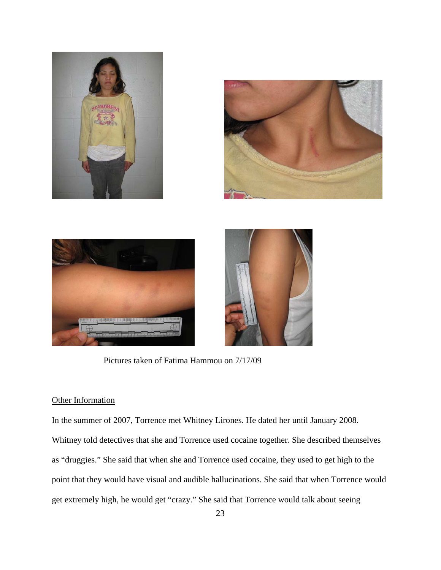







Pictures taken of Fatima Hammou on 7/17/09

# **Other Information**

In the summer of 2007, Torrence met Whitney Lirones. He dated her until January 2008. Whitney told detectives that she and Torrence used cocaine together. She described themselves as "druggies." She said that when she and Torrence used cocaine, they used to get high to the point that they would have visual and audible hallucinations. She said that when Torrence would get extremely high, he would get "crazy." She said that Torrence would talk about seeing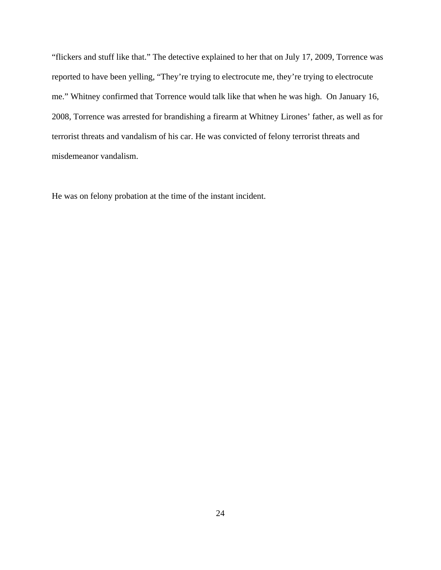"flickers and stuff like that." The detective explained to her that on July 17, 2009, Torrence was reported to have been yelling, "They're trying to electrocute me, they're trying to electrocute me." Whitney confirmed that Torrence would talk like that when he was high. On January 16, 2008, Torrence was arrested for brandishing a firearm at Whitney Lirones' father, as well as for terrorist threats and vandalism of his car. He was convicted of felony terrorist threats and misdemeanor vandalism.

He was on felony probation at the time of the instant incident.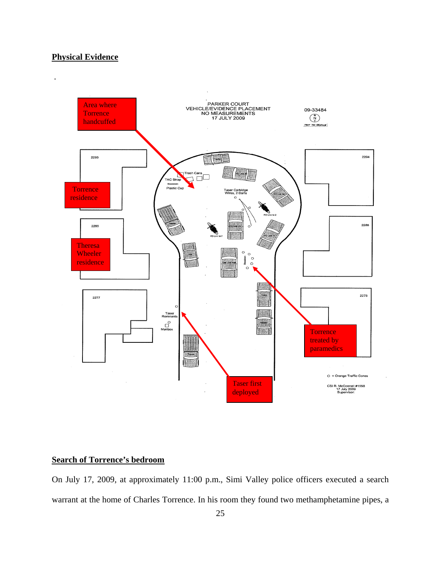# **Physical Evidence**



# **Search of Torrence's bedroom**

On July 17, 2009, at approximately 11:00 p.m., Simi Valley police officers executed a search warrant at the home of Charles Torrence. In his room they found two methamphetamine pipes, a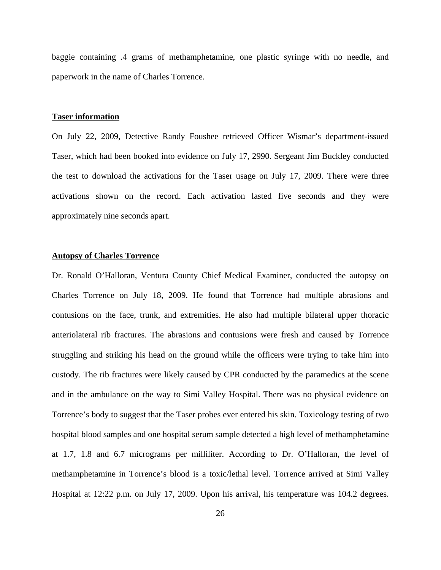baggie containing .4 grams of methamphetamine, one plastic syringe with no needle, and paperwork in the name of Charles Torrence.

### **Taser information**

On July 22, 2009, Detective Randy Foushee retrieved Officer Wismar's department-issued Taser, which had been booked into evidence on July 17, 2990. Sergeant Jim Buckley conducted the test to download the activations for the Taser usage on July 17, 2009. There were three activations shown on the record. Each activation lasted five seconds and they were approximately nine seconds apart.

# **Autopsy of Charles Torrence**

Dr. Ronald O'Halloran, Ventura County Chief Medical Examiner, conducted the autopsy on Charles Torrence on July 18, 2009. He found that Torrence had multiple abrasions and contusions on the face, trunk, and extremities. He also had multiple bilateral upper thoracic anteriolateral rib fractures. The abrasions and contusions were fresh and caused by Torrence struggling and striking his head on the ground while the officers were trying to take him into custody. The rib fractures were likely caused by CPR conducted by the paramedics at the scene and in the ambulance on the way to Simi Valley Hospital. There was no physical evidence on Torrence's body to suggest that the Taser probes ever entered his skin. Toxicology testing of two hospital blood samples and one hospital serum sample detected a high level of methamphetamine at 1.7, 1.8 and 6.7 micrograms per milliliter. According to Dr. O'Halloran, the level of methamphetamine in Torrence's blood is a toxic/lethal level. Torrence arrived at Simi Valley Hospital at 12:22 p.m. on July 17, 2009. Upon his arrival, his temperature was 104.2 degrees.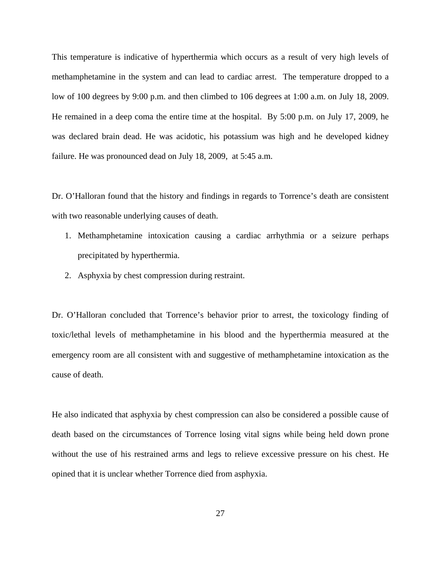This temperature is indicative of hyperthermia which occurs as a result of very high levels of methamphetamine in the system and can lead to cardiac arrest. The temperature dropped to a low of 100 degrees by 9:00 p.m. and then climbed to 106 degrees at 1:00 a.m. on July 18, 2009. He remained in a deep coma the entire time at the hospital. By 5:00 p.m. on July 17, 2009, he was declared brain dead. He was acidotic, his potassium was high and he developed kidney failure. He was pronounced dead on July 18, 2009, at 5:45 a.m.

Dr. O'Halloran found that the history and findings in regards to Torrence's death are consistent with two reasonable underlying causes of death.

- 1. Methamphetamine intoxication causing a cardiac arrhythmia or a seizure perhaps precipitated by hyperthermia.
- 2. Asphyxia by chest compression during restraint.

Dr. O'Halloran concluded that Torrence's behavior prior to arrest, the toxicology finding of toxic/lethal levels of methamphetamine in his blood and the hyperthermia measured at the emergency room are all consistent with and suggestive of methamphetamine intoxication as the cause of death.

He also indicated that asphyxia by chest compression can also be considered a possible cause of death based on the circumstances of Torrence losing vital signs while being held down prone without the use of his restrained arms and legs to relieve excessive pressure on his chest. He opined that it is unclear whether Torrence died from asphyxia.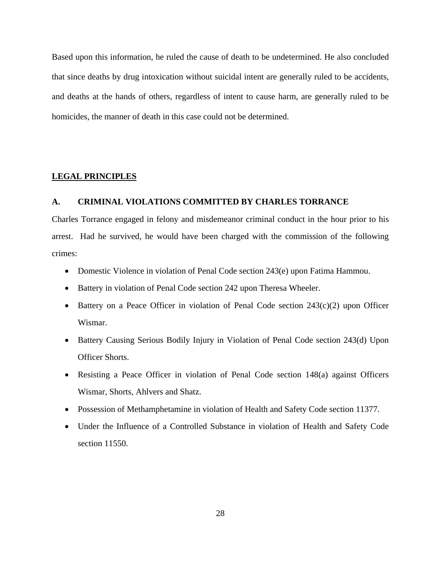Based upon this information, he ruled the cause of death to be undetermined. He also concluded that since deaths by drug intoxication without suicidal intent are generally ruled to be accidents, and deaths at the hands of others, regardless of intent to cause harm, are generally ruled to be homicides, the manner of death in this case could not be determined.

### **LEGAL PRINCIPLES**

# **A. CRIMINAL VIOLATIONS COMMITTED BY CHARLES TORRANCE**

Charles Torrance engaged in felony and misdemeanor criminal conduct in the hour prior to his arrest. Had he survived, he would have been charged with the commission of the following crimes:

- Domestic Violence in violation of Penal Code section 243(e) upon Fatima Hammou.
- Battery in violation of Penal Code section 242 upon Theresa Wheeler.
- Battery on a Peace Officer in violation of Penal Code section  $243(c)(2)$  upon Officer Wismar.
- Battery Causing Serious Bodily Injury in Violation of Penal Code section 243(d) Upon Officer Shorts.
- Resisting a Peace Officer in violation of Penal Code section 148(a) against Officers Wismar, Shorts, Ahlvers and Shatz.
- Possession of Methamphetamine in violation of Health and Safety Code section 11377.
- Under the Influence of a Controlled Substance in violation of Health and Safety Code section 11550.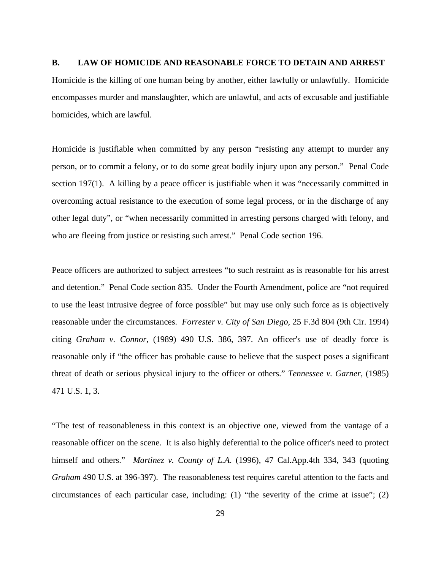### **B. LAW OF HOMICIDE AND REASONABLE FORCE TO DETAIN AND ARREST**

Homicide is the killing of one human being by another, either lawfully or unlawfully. Homicide encompasses murder and manslaughter, which are unlawful, and acts of excusable and justifiable homicides, which are lawful.

Homicide is justifiable when committed by any person "resisting any attempt to murder any person, or to commit a felony, or to do some great bodily injury upon any person." Penal Code section 197(1). A killing by a peace officer is justifiable when it was "necessarily committed in overcoming actual resistance to the execution of some legal process, or in the discharge of any other legal duty", or "when necessarily committed in arresting persons charged with felony, and who are fleeing from justice or resisting such arrest." Penal Code section 196.

Peace officers are authorized to subject arrestees "to such restraint as is reasonable for his arrest and detention." Penal Code section 835. Under the Fourth Amendment, police are "not required to use the least intrusive degree of force possible" but may use only such force as is objectively reasonable under the circumstances. *Forrester v. City of San Diego*, 25 F.3d 804 (9th Cir. 1994) citing *Graham v. Connor*, (1989) 490 U.S. 386, 397. An officer's use of deadly force is reasonable only if "the officer has probable cause to believe that the suspect poses a significant threat of death or serious physical injury to the officer or others." *Tennessee v. Garner*, (1985) 471 U.S. 1, 3.

"The test of reasonableness in this context is an objective one, viewed from the vantage of a reasonable officer on the scene. It is also highly deferential to the police officer's need to protect himself and others." *Martinez v. County of L.A*. (1996), 47 Cal.App.4th 334, 343 (quoting *Graham* 490 U.S. at 396-397). The reasonableness test requires careful attention to the facts and circumstances of each particular case, including: (1) "the severity of the crime at issue"; (2)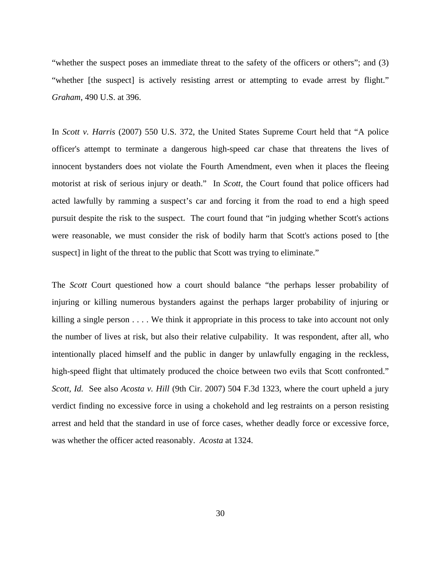"whether the suspect poses an immediate threat to the safety of the officers or others"; and (3) "whether [the suspect] is actively resisting arrest or attempting to evade arrest by flight." *Graham*, 490 U.S. at 396.

In *Scott v. Harris* (2007) 550 U.S. 372, the United States Supreme Court held that "A police officer's attempt to terminate a dangerous high-speed car chase that threatens the lives of innocent bystanders does not violate the Fourth Amendment, even when it places the fleeing motorist at risk of serious injury or death." In *Scott*, the Court found that police officers had acted lawfully by ramming a suspect's car and forcing it from the road to end a high speed pursuit despite the risk to the suspect. The court found that "in judging whether Scott's actions were reasonable, we must consider the risk of bodily harm that Scott's actions posed to [the suspect] in light of the threat to the public that Scott was trying to eliminate."

The *Scott* Court questioned how a court should balance "the perhaps lesser probability of injuring or killing numerous bystanders against the perhaps larger probability of injuring or killing a single person . . . . We think it appropriate in this process to take into account not only the number of lives at risk, but also their relative culpability. It was respondent, after all, who intentionally placed himself and the public in danger by unlawfully engaging in the reckless, high-speed flight that ultimately produced the choice between two evils that Scott confronted." *Scott, Id.* See also *Acosta v. Hill* (9th Cir. 2007) 504 F.3d 1323, where the court upheld a jury verdict finding no excessive force in using a chokehold and leg restraints on a person resisting arrest and held that the standard in use of force cases, whether deadly force or excessive force, was whether the officer acted reasonably. *Acosta* at 1324.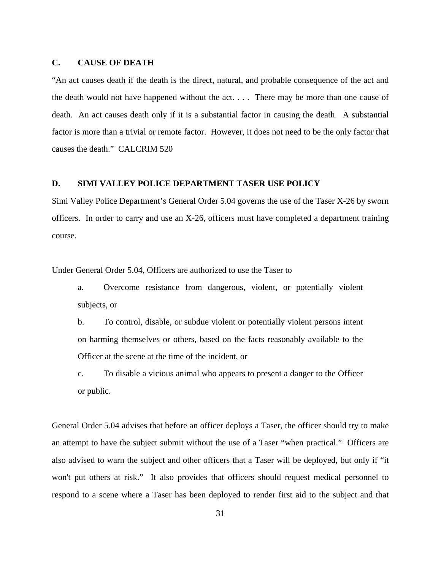### **C. CAUSE OF DEATH**

"An act causes death if the death is the direct, natural, and probable consequence of the act and the death would not have happened without the act. . . . There may be more than one cause of death. An act causes death only if it is a substantial factor in causing the death. A substantial factor is more than a trivial or remote factor. However, it does not need to be the only factor that causes the death." CALCRIM 520

# **D. SIMI VALLEY POLICE DEPARTMENT TASER USE POLICY**

Simi Valley Police Department's General Order 5.04 governs the use of the Taser X-26 by sworn officers. In order to carry and use an X-26, officers must have completed a department training course.

Under General Order 5.04, Officers are authorized to use the Taser to

a. Overcome resistance from dangerous, violent, or potentially violent subjects, or

b. To control, disable, or subdue violent or potentially violent persons intent on harming themselves or others, based on the facts reasonably available to the Officer at the scene at the time of the incident, or

c. To disable a vicious animal who appears to present a danger to the Officer or public.

General Order 5.04 advises that before an officer deploys a Taser, the officer should try to make an attempt to have the subject submit without the use of a Taser "when practical." Officers are also advised to warn the subject and other officers that a Taser will be deployed, but only if "it won't put others at risk." It also provides that officers should request medical personnel to respond to a scene where a Taser has been deployed to render first aid to the subject and that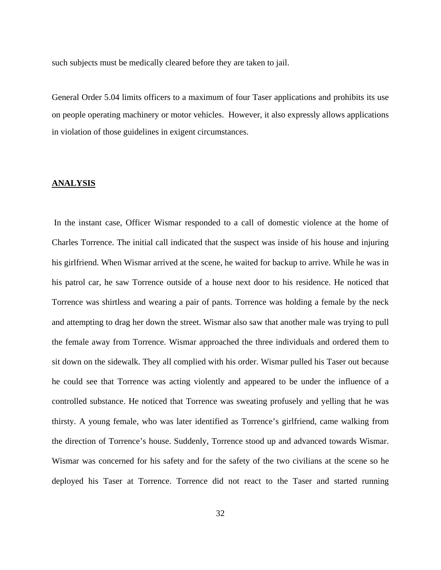such subjects must be medically cleared before they are taken to jail.

General Order 5.04 limits officers to a maximum of four Taser applications and prohibits its use on people operating machinery or motor vehicles. However, it also expressly allows applications in violation of those guidelines in exigent circumstances.

# **ANALYSIS**

 In the instant case, Officer Wismar responded to a call of domestic violence at the home of Charles Torrence. The initial call indicated that the suspect was inside of his house and injuring his girlfriend. When Wismar arrived at the scene, he waited for backup to arrive. While he was in his patrol car, he saw Torrence outside of a house next door to his residence. He noticed that Torrence was shirtless and wearing a pair of pants. Torrence was holding a female by the neck and attempting to drag her down the street. Wismar also saw that another male was trying to pull the female away from Torrence. Wismar approached the three individuals and ordered them to sit down on the sidewalk. They all complied with his order. Wismar pulled his Taser out because he could see that Torrence was acting violently and appeared to be under the influence of a controlled substance. He noticed that Torrence was sweating profusely and yelling that he was thirsty. A young female, who was later identified as Torrence's girlfriend, came walking from the direction of Torrence's house. Suddenly, Torrence stood up and advanced towards Wismar. Wismar was concerned for his safety and for the safety of the two civilians at the scene so he deployed his Taser at Torrence. Torrence did not react to the Taser and started running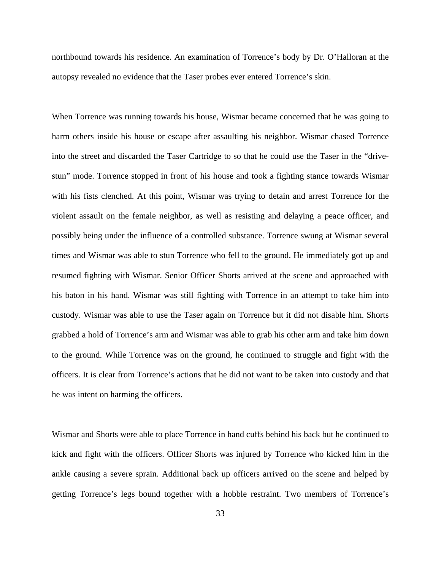northbound towards his residence. An examination of Torrence's body by Dr. O'Halloran at the autopsy revealed no evidence that the Taser probes ever entered Torrence's skin.

When Torrence was running towards his house, Wismar became concerned that he was going to harm others inside his house or escape after assaulting his neighbor. Wismar chased Torrence into the street and discarded the Taser Cartridge to so that he could use the Taser in the "drivestun" mode. Torrence stopped in front of his house and took a fighting stance towards Wismar with his fists clenched. At this point, Wismar was trying to detain and arrest Torrence for the violent assault on the female neighbor, as well as resisting and delaying a peace officer, and possibly being under the influence of a controlled substance. Torrence swung at Wismar several times and Wismar was able to stun Torrence who fell to the ground. He immediately got up and resumed fighting with Wismar. Senior Officer Shorts arrived at the scene and approached with his baton in his hand. Wismar was still fighting with Torrence in an attempt to take him into custody. Wismar was able to use the Taser again on Torrence but it did not disable him. Shorts grabbed a hold of Torrence's arm and Wismar was able to grab his other arm and take him down to the ground. While Torrence was on the ground, he continued to struggle and fight with the officers. It is clear from Torrence's actions that he did not want to be taken into custody and that he was intent on harming the officers.

Wismar and Shorts were able to place Torrence in hand cuffs behind his back but he continued to kick and fight with the officers. Officer Shorts was injured by Torrence who kicked him in the ankle causing a severe sprain. Additional back up officers arrived on the scene and helped by getting Torrence's legs bound together with a hobble restraint. Two members of Torrence's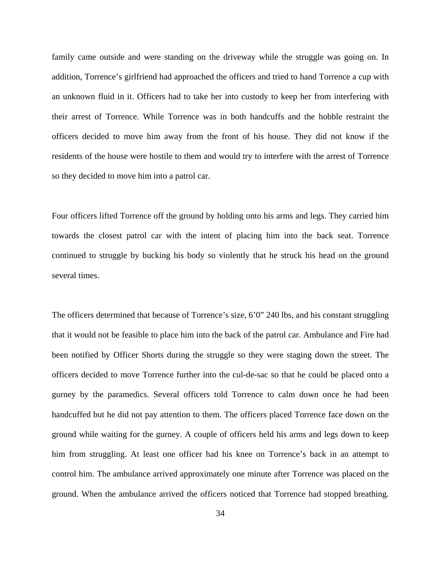family came outside and were standing on the driveway while the struggle was going on. In addition, Torrence's girlfriend had approached the officers and tried to hand Torrence a cup with an unknown fluid in it. Officers had to take her into custody to keep her from interfering with their arrest of Torrence. While Torrence was in both handcuffs and the hobble restraint the officers decided to move him away from the front of his house. They did not know if the residents of the house were hostile to them and would try to interfere with the arrest of Torrence so they decided to move him into a patrol car.

Four officers lifted Torrence off the ground by holding onto his arms and legs. They carried him towards the closest patrol car with the intent of placing him into the back seat. Torrence continued to struggle by bucking his body so violently that he struck his head on the ground several times.

The officers determined that because of Torrence's size, 6'0" 240 lbs, and his constant struggling that it would not be feasible to place him into the back of the patrol car. Ambulance and Fire had been notified by Officer Shorts during the struggle so they were staging down the street. The officers decided to move Torrence further into the cul-de-sac so that he could be placed onto a gurney by the paramedics. Several officers told Torrence to calm down once he had been handcuffed but he did not pay attention to them. The officers placed Torrence face down on the ground while waiting for the gurney. A couple of officers held his arms and legs down to keep him from struggling. At least one officer had his knee on Torrence's back in an attempt to control him. The ambulance arrived approximately one minute after Torrence was placed on the ground. When the ambulance arrived the officers noticed that Torrence had stopped breathing.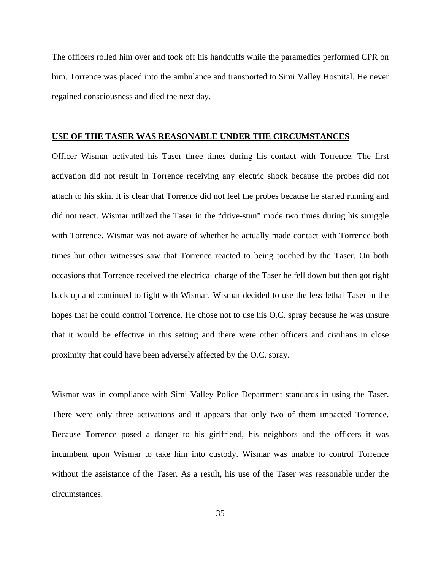The officers rolled him over and took off his handcuffs while the paramedics performed CPR on him. Torrence was placed into the ambulance and transported to Simi Valley Hospital. He never regained consciousness and died the next day.

# **USE OF THE TASER WAS REASONABLE UNDER THE CIRCUMSTANCES**

Officer Wismar activated his Taser three times during his contact with Torrence. The first activation did not result in Torrence receiving any electric shock because the probes did not attach to his skin. It is clear that Torrence did not feel the probes because he started running and did not react. Wismar utilized the Taser in the "drive-stun" mode two times during his struggle with Torrence. Wismar was not aware of whether he actually made contact with Torrence both times but other witnesses saw that Torrence reacted to being touched by the Taser. On both occasions that Torrence received the electrical charge of the Taser he fell down but then got right back up and continued to fight with Wismar. Wismar decided to use the less lethal Taser in the hopes that he could control Torrence. He chose not to use his O.C. spray because he was unsure that it would be effective in this setting and there were other officers and civilians in close proximity that could have been adversely affected by the O.C. spray.

Wismar was in compliance with Simi Valley Police Department standards in using the Taser. There were only three activations and it appears that only two of them impacted Torrence. Because Torrence posed a danger to his girlfriend, his neighbors and the officers it was incumbent upon Wismar to take him into custody. Wismar was unable to control Torrence without the assistance of the Taser. As a result, his use of the Taser was reasonable under the circumstances.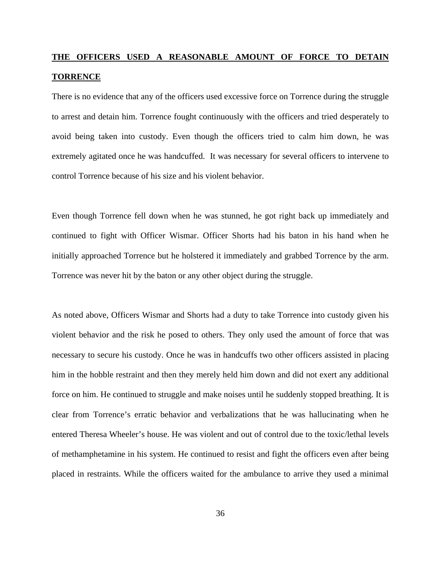# **THE OFFICERS USED A REASONABLE AMOUNT OF FORCE TO DETAIN TORRENCE**

There is no evidence that any of the officers used excessive force on Torrence during the struggle to arrest and detain him. Torrence fought continuously with the officers and tried desperately to avoid being taken into custody. Even though the officers tried to calm him down, he was extremely agitated once he was handcuffed. It was necessary for several officers to intervene to control Torrence because of his size and his violent behavior.

Even though Torrence fell down when he was stunned, he got right back up immediately and continued to fight with Officer Wismar. Officer Shorts had his baton in his hand when he initially approached Torrence but he holstered it immediately and grabbed Torrence by the arm. Torrence was never hit by the baton or any other object during the struggle.

As noted above, Officers Wismar and Shorts had a duty to take Torrence into custody given his violent behavior and the risk he posed to others. They only used the amount of force that was necessary to secure his custody. Once he was in handcuffs two other officers assisted in placing him in the hobble restraint and then they merely held him down and did not exert any additional force on him. He continued to struggle and make noises until he suddenly stopped breathing. It is clear from Torrence's erratic behavior and verbalizations that he was hallucinating when he entered Theresa Wheeler's house. He was violent and out of control due to the toxic/lethal levels of methamphetamine in his system. He continued to resist and fight the officers even after being placed in restraints. While the officers waited for the ambulance to arrive they used a minimal